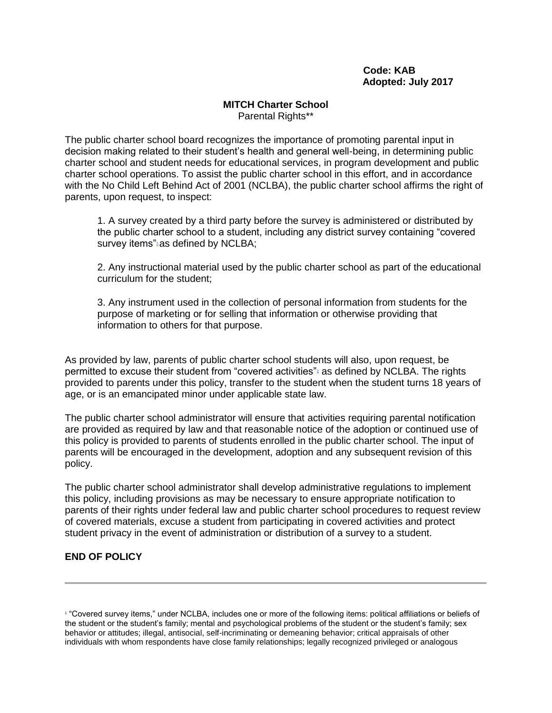## **Code: KAB Adopted: July 2017**

## **MITCH Charter School** Parental Rights\*\*

The public charter school board recognizes the importance of promoting parental input in decision making related to their student's health and general well-being, in determining public charter school and student needs for educational services, in program development and public charter school operations. To assist the public charter school in this effort, and in accordance with the No Child Left Behind Act of 2001 (NCLBA), the public charter school affirms the right of parents, upon request, to inspect:

1. A survey created by a third party before the survey is administered or distributed by the public charter school to a student, including any district survey containing "covered survey items["](https://docs.google.com/document/d/1_kQoQ8_UbufagoamIBn0eCD3OjVxRjVSAeTQKM4sGpk/edit#bookmark=id.2ajq4wmxspzt)<sup>1</sup> as defined by NCLBA;

2. Any instructional material used by the public charter school as part of the educational curriculum for the student;

3. Any instrument used in the collection of personal information from students for the purpose of marketing or for selling that information or otherwise providing that information to others for that purpose.

As provided by law, parents of public charter school students will also, upon request, be permitted to excuse their student from ["](https://docs.google.com/document/d/1_kQoQ8_UbufagoamIBn0eCD3OjVxRjVSAeTQKM4sGpk/edit#bookmark=id.d6pvldurav33)covered activities"<sup>2</sup> as defined by NCLBA. The rights provided to parents under this policy, transfer to the student when the student turns 18 years of age, or is an emancipated minor under applicable state law.

The public charter school administrator will ensure that activities requiring parental notification are provided as required by law and that reasonable notice of the adoption or continued use of this policy is provided to parents of students enrolled in the public charter school. The input of parents will be encouraged in the development, adoption and any subsequent revision of this policy.

The public charter school administrator shall develop administrative regulations to implement this policy, including provisions as may be necessary to ensure appropriate notification to parents of their rights under federal law and public charter school procedures to request review of covered materials, excuse a student from participating in covered activities and protect student privacy in the event of administration or distribution of a survey to a student.

## **END OF POLICY**

<sup>1</sup> "Covered survey items," under NCLBA, includes one or more of the following items: political affiliations or beliefs of the student or the student's family; mental and psychological problems of the student or the student's family; sex behavior or attitudes; illegal, antisocial, self-incriminating or demeaning behavior; critical appraisals of other individuals with whom respondents have close family relationships; legally recognized privileged or analogous